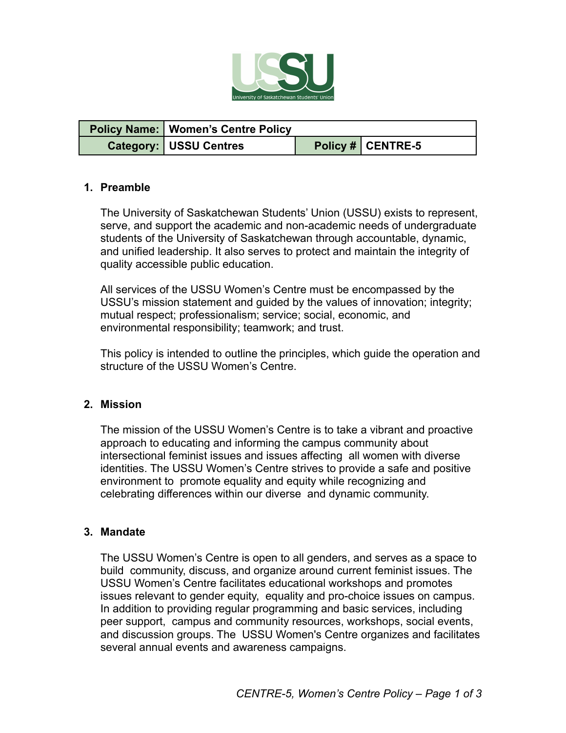

| <b>Policy Name:   Women's Centre Policy</b> |                   |
|---------------------------------------------|-------------------|
| <b>Category: USSU Centres</b>               | Policy # CENTRE-5 |

#### **1. Preamble**

The University of Saskatchewan Students' Union (USSU) exists to represent, serve, and support the academic and non-academic needs of undergraduate students of the University of Saskatchewan through accountable, dynamic, and unified leadership. It also serves to protect and maintain the integrity of quality accessible public education.

All services of the USSU Women's Centre must be encompassed by the USSU's mission statement and guided by the values of innovation; integrity; mutual respect; professionalism; service; social, economic, and environmental responsibility; teamwork; and trust.

This policy is intended to outline the principles, which guide the operation and structure of the USSU Women's Centre.

### **2. Mission**

The mission of the USSU Women's Centre is to take a vibrant and proactive approach to educating and informing the campus community about intersectional feminist issues and issues affecting all women with diverse identities. The USSU Women's Centre strives to provide a safe and positive environment to promote equality and equity while recognizing and celebrating differences within our diverse and dynamic community.

#### **3. Mandate**

The USSU Women's Centre is open to all genders, and serves as a space to build community, discuss, and organize around current feminist issues. The USSU Women's Centre facilitates educational workshops and promotes issues relevant to gender equity, equality and pro-choice issues on campus. In addition to providing regular programming and basic services, including peer support, campus and community resources, workshops, social events, and discussion groups. The USSU Women's Centre organizes and facilitates several annual events and awareness campaigns.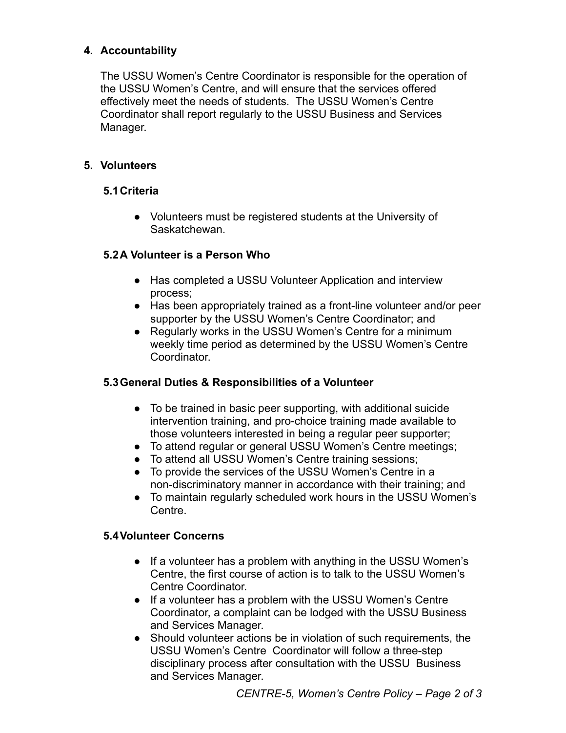## **4. Accountability**

The USSU Women's Centre Coordinator is responsible for the operation of the USSU Women's Centre, and will ensure that the services offered effectively meet the needs of students. The USSU Women's Centre Coordinator shall report regularly to the USSU Business and Services Manager.

### **5. Volunteers**

### **5.1Criteria**

● Volunteers must be registered students at the University of Saskatchewan.

### **5.2A Volunteer is a Person Who**

- Has completed a USSU Volunteer Application and interview process;
- Has been appropriately trained as a front-line volunteer and/or peer supporter by the USSU Women's Centre Coordinator; and
- Regularly works in the USSU Women's Centre for a minimum weekly time period as determined by the USSU Women's Centre Coordinator.

### **5.3General Duties & Responsibilities of a Volunteer**

- To be trained in basic peer supporting, with additional suicide intervention training, and pro-choice training made available to those volunteers interested in being a regular peer supporter;
- To attend regular or general USSU Women's Centre meetings;
- To attend all USSU Women's Centre training sessions;
- To provide the services of the USSU Women's Centre in a non-discriminatory manner in accordance with their training; and
- To maintain regularly scheduled work hours in the USSU Women's Centre.

### **5.4Volunteer Concerns**

- If a volunteer has a problem with anything in the USSU Women's Centre, the first course of action is to talk to the USSU Women's Centre Coordinator.
- If a volunteer has a problem with the USSU Women's Centre Coordinator, a complaint can be lodged with the USSU Business and Services Manager.
- Should volunteer actions be in violation of such requirements, the USSU Women's Centre Coordinator will follow a three-step disciplinary process after consultation with the USSU Business and Services Manager.